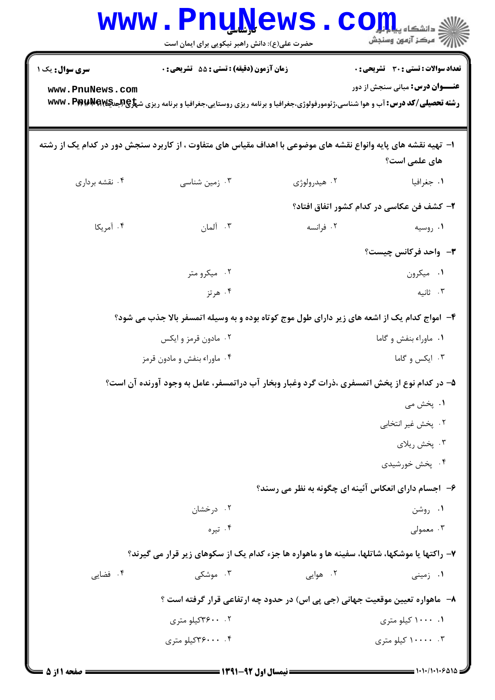|                                                                                              | <b>www.Pnunews</b><br>حضرت علی(ع): دانش راهبر نیکویی برای ایمان است                                                                                                                          |              | COJL<br>أزاز آن مرکز آزمون وسنجش                                                |  |
|----------------------------------------------------------------------------------------------|----------------------------------------------------------------------------------------------------------------------------------------------------------------------------------------------|--------------|---------------------------------------------------------------------------------|--|
| <b>سری سوال :</b> یک ۱<br>www.PnuNews.com                                                    | <b>زمان آزمون (دقیقه) : تستی : 55 تشریحی : 0</b><br><b>رشته تحصیلی/کد درس: آب و هوا شناسی،ژئومورفولوژی،جغرافیا و برنامه ریزی روستایی،جغرافیا و برنامه ریزی ش<del>پرچپپچهپهW</del>R . Pp:</b> |              | تعداد سوالات : تستى : 30 - تشريحي : 0<br><b>عنـــوان درس:</b> مبانی سنجش از دور |  |
|                                                                                              | ۱–  تهیه نقشه های پایه وانواع نقشه های موضوعی با اهداف مقیاس های متفاوت ، از کاربرد سنجش دور در کدام یک از رشته                                                                              |              | های علمی است؟                                                                   |  |
| ۰۴ نقشه برداري                                                                               | ۰۳ زمین شناسی                                                                                                                                                                                | ۰۲ هیدرولوژی | ۰۱ جغرافیا                                                                      |  |
|                                                                                              |                                                                                                                                                                                              |              | ۲- کشف فن عکاسی در کدام کشور اتفاق افتاد؟                                       |  |
| ۰۴ آمریکا                                                                                    | ۰۳ آلمان                                                                                                                                                                                     | ۰۲ فرانسه    | ۰۱ روسیه                                                                        |  |
|                                                                                              |                                                                                                                                                                                              |              | <b>۳</b> -۔ واحد فرکانس چیست؟                                                   |  |
|                                                                                              | ۰۲ میکرو متر                                                                                                                                                                                 |              | ٠١ ميكرون                                                                       |  |
|                                                                                              | ۰۴ هرتز                                                                                                                                                                                      |              | ۰۳ ثانیه                                                                        |  |
|                                                                                              | ۴- امواج کدام یک از اشعه های زیر دارای طول موج کوتاه بوده و به وسیله اتمسفر بالا جذب می شود؟                                                                                                 |              |                                                                                 |  |
|                                                                                              | ۰۲ مادون قرمز و ایکس                                                                                                                                                                         |              | ٠١ ماوراء بنفش و گاما                                                           |  |
|                                                                                              | ۰۴ ماوراء بنفش و مادون قرمز                                                                                                                                                                  |              | ۰۳ ایکس و گاما                                                                  |  |
| ۵– در کدام نوع از پخش اتمسفری ،ذرات گرد وغبار وبخار آب دراتمسفر، عامل به وجود آورنده آن است؟ |                                                                                                                                                                                              |              |                                                                                 |  |
|                                                                                              |                                                                                                                                                                                              |              | ۰۱ پخش می                                                                       |  |
|                                                                                              |                                                                                                                                                                                              |              | ۰۲ پخش غیر انتخابی                                                              |  |
|                                                                                              |                                                                                                                                                                                              |              | ۰۳ پخش ريلاي                                                                    |  |
|                                                                                              |                                                                                                                                                                                              |              | ۰۴ پخش خورشیدی                                                                  |  |
| ۶-۔ اجسام دارای انعکاس آئینه ای چگونه به نظر می رسند؟                                        |                                                                                                                                                                                              |              |                                                                                 |  |
|                                                                                              | ۰۲ درخشان                                                                                                                                                                                    |              | ۰۱ روشن                                                                         |  |
|                                                                                              | ۰۴ تیره                                                                                                                                                                                      |              | ۰۳ معمولی                                                                       |  |
| ۷- راکتها یا موشکها، شاتلها، سفینه ها و ماهواره ها جزء کدام یک از سکوهای زیر قرار می گیرند؟  |                                                                                                                                                                                              |              |                                                                                 |  |
| ۰۴ فضایی                                                                                     | ۰۳ موشکی                                                                                                                                                                                     | ۲. هوایی     | ۰۱ زمینی                                                                        |  |
| ۸–   ماهواره تعیین موقعیت جهانی (جی پی اس) در حدود چه ارتفاعی قرار گرفته است ؟               |                                                                                                                                                                                              |              |                                                                                 |  |
|                                                                                              | ۰. ۳۶۰۰کیلو متری                                                                                                                                                                             |              | ۰.۱۰۰۰ کیلو متری                                                                |  |
|                                                                                              | ۰۴ . ۳۶۰۰۰کیلو متری                                                                                                                                                                          |              | ۰.۳ - ۱۰۰۰۰ کیلو متری                                                           |  |
|                                                                                              |                                                                                                                                                                                              |              |                                                                                 |  |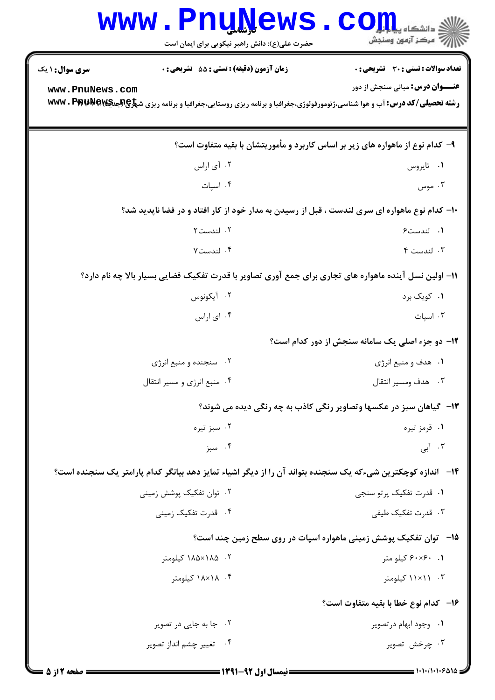|                                                                                                             | <b>WWW.PNUWEWS</b><br>حضرت علی(ع): دانش راهبر نیکویی برای ایمان است                                                                             | $\mathbf{C}\mathbf{O}$ ill $\mathbf{L}$<br>رآ - مرڪز آزمون وسنڊش           |  |  |
|-------------------------------------------------------------------------------------------------------------|-------------------------------------------------------------------------------------------------------------------------------------------------|----------------------------------------------------------------------------|--|--|
| <b>سری سوال :</b> ۱ یک                                                                                      | <b>زمان آزمون (دقیقه) : تستی : 55 تشریحی : 0</b>                                                                                                | تعداد سوالات : تستى : 30 - تشريحي : 0                                      |  |  |
| www.PnuNews.com                                                                                             | <b>رشته تحصیلی/کد درس: آ</b> ب و هوا شناسی،ژئومورفولوژی،جغرافیا و برنامه ریزی روستایی،جغرافیا و برنامه ریزی ش <del>پرچپپهپ۷۵ Ww</del> w . Pp Pa | <b>عنـــوان درس:</b> مبانی سنجش از دور                                     |  |  |
| ۹- کدام نوع از ماهواره های زیر بر اساس کاربرد و مأموریتشان با بقیه متفاوت است؟                              |                                                                                                                                                 |                                                                            |  |  |
|                                                                                                             | ۰۲ آی اراس                                                                                                                                      | ۰۱ تايروس                                                                  |  |  |
|                                                                                                             | ۰۴ اسپات                                                                                                                                        | ۰۳ موس                                                                     |  |  |
| ۱۰– کدام نوع ماهواره ای سری لندست ، قبل از رسیدن به مدار خود از کار افتاد و در فضا ناپدید شد؟               |                                                                                                                                                 |                                                                            |  |  |
|                                                                                                             | ۰۲ لندست۲                                                                                                                                       | ٠١ لندست۶                                                                  |  |  |
|                                                                                                             | ۰۴ لندست۷                                                                                                                                       | ۰۳ لندست ۴                                                                 |  |  |
| 11- اولین نسل آینده ماهواره های تجاری برای جمع آوری تصاویر با قدرت تفکیک فضایی بسیار بالا چه نام دارد؟      |                                                                                                                                                 |                                                                            |  |  |
|                                                                                                             | ۰۲ آیکونوس                                                                                                                                      | ۰۱ کويک برد                                                                |  |  |
|                                                                                                             | ۰۴ ای اراس                                                                                                                                      | ۰۳ اسپات                                                                   |  |  |
|                                                                                                             |                                                                                                                                                 | <b>۱۲- دو جزء اصلی یک سامانه سنجش از دور کدام است</b> ؟                    |  |  |
|                                                                                                             | ۰۲ سنجنده و منبع انرژی                                                                                                                          | ۰۱ هدف و منبع انرژی                                                        |  |  |
|                                                                                                             | ۰۴ منبع انرژی و مسیر انتقال                                                                                                                     | ۰۳ هدف ومسير انتقال                                                        |  |  |
|                                                                                                             |                                                                                                                                                 | <b>۱۳</b> - گیاهان سبز در عکسها وتصاویر رنگی کاذب به چه رنگی دیده می شوند؟ |  |  |
|                                                                                                             | ۰۲ سبز تیره                                                                                                                                     | ۰۱ قرمز تیره                                                               |  |  |
|                                                                                                             | ۰۴ سبز                                                                                                                                          | ۰۳ آبی                                                                     |  |  |
| ۱۴– اندازه کوچکترین شیءکه یک سنجنده بتواند آن را از دیگر اشیاء تمایز دهد بیانگر کدام پارامتر یک سنجنده است؟ |                                                                                                                                                 |                                                                            |  |  |
|                                                                                                             | ۰۲ توان تفکیک پوشش زمینی                                                                                                                        | ۰۱ قدرت تفکیک پرتو سنجی                                                    |  |  |
|                                                                                                             | ۰۴ قدرت تفکیک زمینی                                                                                                                             | ۰۳ قدرت تفکیک طیفی                                                         |  |  |
| <b>۱۵</b> -   توان تفکیک پوشش زمینی ماهواره اسپات در روی سطح زمین چند است؟                                  |                                                                                                                                                 |                                                                            |  |  |
|                                                                                                             | ۰۲ ه۱۸۵×۱۸۵ کیلومتر                                                                                                                             | ۰۱. ۶۰×۶۰ کیلو متر                                                         |  |  |
|                                                                                                             | ۰۴ ۱۸×۱۸ کیلومتر                                                                                                                                | ۰۳ . ۱۱×۱۱ کیلومتر                                                         |  |  |
|                                                                                                             |                                                                                                                                                 | 16- كدام نوع خطا با بقيه متفاوت است؟                                       |  |  |
|                                                                                                             | ۰۲ جا به جایی در تصویر                                                                                                                          | ۰۱ وجود ابهام در تصوير                                                     |  |  |
|                                                                                                             | ۰۴ تغییر چشم انداز تصویر                                                                                                                        | ۰۳ چرخش تصویر                                                              |  |  |
| صفحه 12: 5                                                                                                  |                                                                                                                                                 | $1.11117212 =$                                                             |  |  |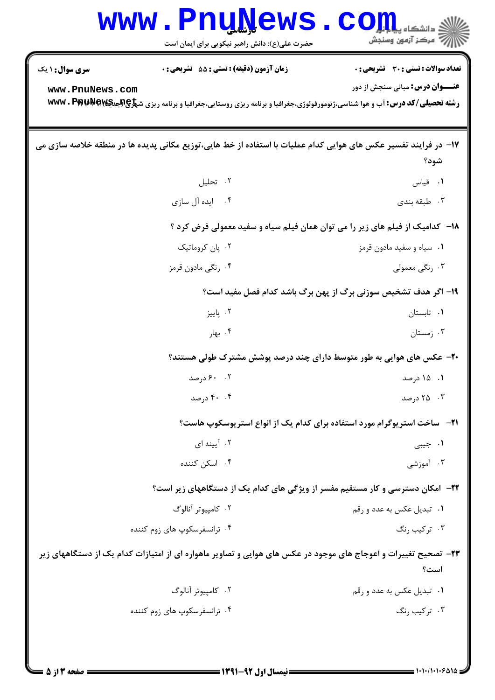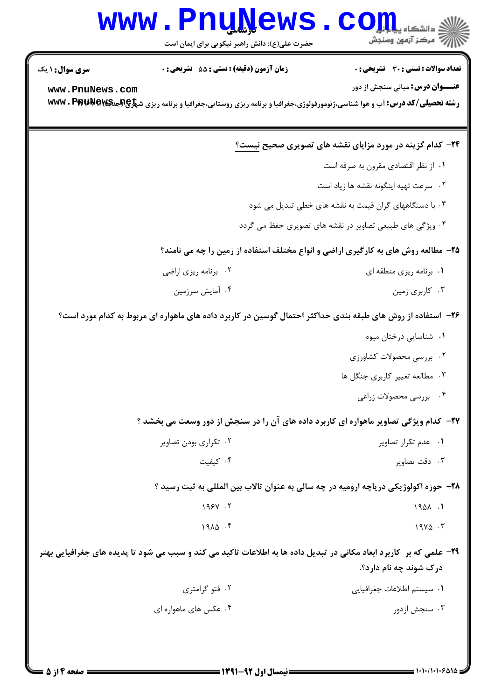## Www.PnuNews.com

حضرت علی(ع): دانش راهبر نیکویی برای ایمان است

| <b>سری سوال : ۱ یک</b>                                                                                              | <b>زمان آزمون (دقیقه) : تستی : 55 تشریحی : 0</b> | <b>تعداد سوالات : تستی : 30 ٪ تشریحی : 0</b>                                                                                                       |  |  |
|---------------------------------------------------------------------------------------------------------------------|--------------------------------------------------|----------------------------------------------------------------------------------------------------------------------------------------------------|--|--|
| www.PnuNews.com                                                                                                     |                                                  | <b>عنـــوان درس:</b> مبانی سنجش از دور                                                                                                             |  |  |
|                                                                                                                     |                                                  | <b>رشته تحصیلی/کد درس: آ</b> ب و هوا شناسی،ژئومورفولوژی،جغرافیا و برنامه ریزی روستایی،جغرافیا و برنامه ریزی ش <del>پرکپالپدیهاپه WWW</del> . Pp Pa |  |  |
|                                                                                                                     |                                                  | <b>۲۴</b> - کدام گزینه در مورد مزایای نقشه های تصویری صحیح نیست؟                                                                                   |  |  |
|                                                                                                                     |                                                  | ٠١ از نظر اقتصادي مقرون به صرفه است                                                                                                                |  |  |
|                                                                                                                     |                                                  | ۰۲ سرعت تهيه اينگونه نقشه ها زياد است                                                                                                              |  |  |
|                                                                                                                     |                                                  | ۰۳ با دستگاههای گران قیمت به نقشه های خطی تبدیل می شود                                                                                             |  |  |
|                                                                                                                     |                                                  | ۰۴ ویژگی های طبیعی تصاویر در نقشه های تصویری حفظ می گردد                                                                                           |  |  |
| ۲۵- مطالعه روش های به کارگیری اراضی و انواع مختلف استفاده از زمین را چه می نامند؟                                   |                                                  |                                                                                                                                                    |  |  |
|                                                                                                                     | ۰۲ برنامه ریزی اراضی                             | ۰۱ برنامه ریزی منطقه ای                                                                                                                            |  |  |
|                                                                                                                     | ۰۴ آمایش سرزمین                                  | ۰۳ کاربري زمين                                                                                                                                     |  |  |
| ۲۶– استفاده از روش های طبقه بندی حداکثر احتمال گوسین در کاربرد داده های ماهواره ای مربوط به کدام مورد است؟          |                                                  |                                                                                                                                                    |  |  |
|                                                                                                                     |                                                  | ٠١ شناسايي درختان ميوه                                                                                                                             |  |  |
|                                                                                                                     |                                                  | ۰۲ بررسی محصولات کشاورزی                                                                                                                           |  |  |
|                                                                                                                     |                                                  | ۰۳ مطالعه تغییر کاربری جنگل ها                                                                                                                     |  |  |
|                                                                                                                     |                                                  | ۰۴ بررسی محصولات زراعی                                                                                                                             |  |  |
| ۲۷– کدام ویژگی تصاویر ماهواره ای کاربرد داده های آن را در سنجش از دور وسعت می بخشد ؟                                |                                                  |                                                                                                                                                    |  |  |
|                                                                                                                     | ۰۲ تکراری بودن تصاویر                            | ٠١ عدم تكرار تصاوير                                                                                                                                |  |  |
|                                                                                                                     | ۰۴ کیفیت                                         | ۰۳ دقت تصاویر                                                                                                                                      |  |  |
| ۲۸- حوزه اکولوژیکی دریاچه ارومیه در چه سالی به عنوان تالاب بین المللی به ثبت رسید ؟                                 |                                                  |                                                                                                                                                    |  |  |
|                                                                                                                     | 195Y.7                                           | 1901.                                                                                                                                              |  |  |
|                                                                                                                     | $19\lambda\Delta$ .                              | $19Y\Delta$ .                                                                                                                                      |  |  |
| ۲۹– علمی که بر کاربرد ابعاد مکانی در تبدیل داده ها به اطلاعات تاکید می کند و سبب می شود تا پدیده های جغرافیایی بهتر |                                                  |                                                                                                                                                    |  |  |
|                                                                                                                     |                                                  | درک شوند چه نام دارد؟.                                                                                                                             |  |  |
|                                                                                                                     | ۰۲ فتو گرامتری                                   | ٠١. سيستم اطلاعات جغرافيايي                                                                                                                        |  |  |
|                                                                                                                     | ۰۴ عکس های ماهواره ای                            | ۰۳ سنجش ازدور                                                                                                                                      |  |  |
|                                                                                                                     |                                                  |                                                                                                                                                    |  |  |